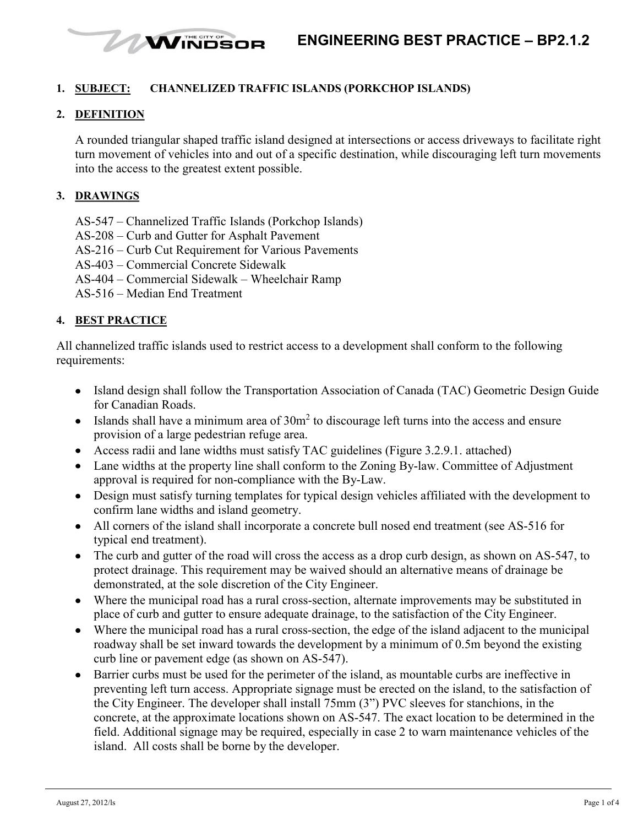

## **1. SUBJECT: CHANNELIZED TRAFFIC ISLANDS (PORKCHOP ISLANDS)**

## **2. DEFINITION**

A rounded triangular shaped traffic island designed at intersections or access driveways to facilitate right turn movement of vehicles into and out of a specific destination, while discouraging left turn movements into the access to the greatest extent possible.

### **3. DRAWINGS**

- AS-547 Channelized Traffic Islands (Porkchop Islands)
- AS-208 Curb and Gutter for Asphalt Pavement

WINDSOR

- AS-216 Curb Cut Requirement for Various Pavements
- AS-403 Commercial Concrete Sidewalk
- AS-404 Commercial Sidewalk Wheelchair Ramp
- AS-516 Median End Treatment

#### **4. BEST PRACTICE**

All channelized traffic islands used to restrict access to a development shall conform to the following requirements:

- Island design shall follow the Transportation Association of Canada (TAC) Geometric Design Guide for Canadian Roads.
- Islands shall have a minimum area of  $30m<sup>2</sup>$  to discourage left turns into the access and ensure provision of a large pedestrian refuge area.
- Access radii and lane widths must satisfy TAC guidelines (Figure 3.2.9.1. attached)
- Lane widths at the property line shall conform to the Zoning By-law. Committee of Adjustment approval is required for non-compliance with the By-Law.
- Design must satisfy turning templates for typical design vehicles affiliated with the development to confirm lane widths and island geometry.
- All corners of the island shall incorporate a concrete bull nosed end treatment (see AS-516 for typical end treatment).
- The curb and gutter of the road will cross the access as a drop curb design, as shown on AS-547, to protect drainage. This requirement may be waived should an alternative means of drainage be demonstrated, at the sole discretion of the City Engineer.
- Where the municipal road has a rural cross-section, alternate improvements may be substituted in place of curb and gutter to ensure adequate drainage, to the satisfaction of the City Engineer.
- Where the municipal road has a rural cross-section, the edge of the island adjacent to the municipal roadway shall be set inward towards the development by a minimum of 0.5m beyond the existing curb line or pavement edge (as shown on AS-547).
- Barrier curbs must be used for the perimeter of the island, as mountable curbs are ineffective in preventing left turn access. Appropriate signage must be erected on the island, to the satisfaction of the City Engineer. The developer shall install 75mm (3") PVC sleeves for stanchions, in the concrete, at the approximate locations shown on AS-547. The exact location to be determined in the field. Additional signage may be required, especially in case 2 to warn maintenance vehicles of the island. All costs shall be borne by the developer.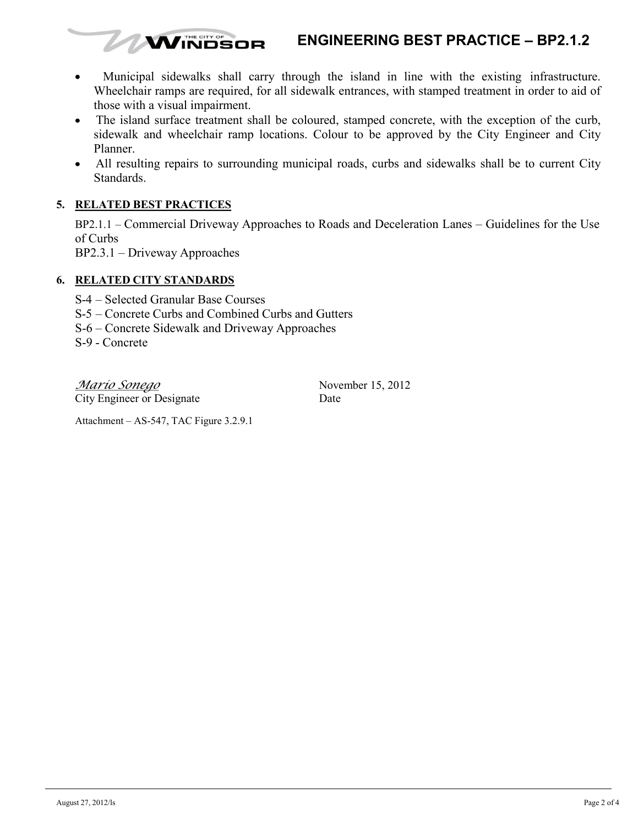# **ENGINEERING BEST PRACTICE – BP2.1.2**

- Municipal sidewalks shall carry through the island in line with the existing infrastructure.  $\bullet$ Wheelchair ramps are required, for all sidewalk entrances, with stamped treatment in order to aid of those with a visual impairment.
- The island surface treatment shall be coloured, stamped concrete, with the exception of the curb,  $\bullet$ sidewalk and wheelchair ramp locations. Colour to be approved by the City Engineer and City Planner.
- All resulting repairs to surrounding municipal roads, curbs and sidewalks shall be to current City Standards.

# **5. RELATED BEST PRACTICES**

BP2.1.1 – Commercial Driveway Approaches to Roads and Deceleration Lanes – Guidelines for the Use of Curbs

BP2.3.1 – Driveway Approaches

# **6. RELATED CITY STANDARDS**

- S-4 Selected Granular Base Courses
- S-5 Concrete Curbs and Combined Curbs and Gutters
- S-6 Concrete Sidewalk and Driveway Approaches

**WINDSOR** 

S-9 - Concrete

*Mario Sonego* November 15, 2012 City Engineer or Designate Date

Attachment – AS-547, TAC Figure 3.2.9.1